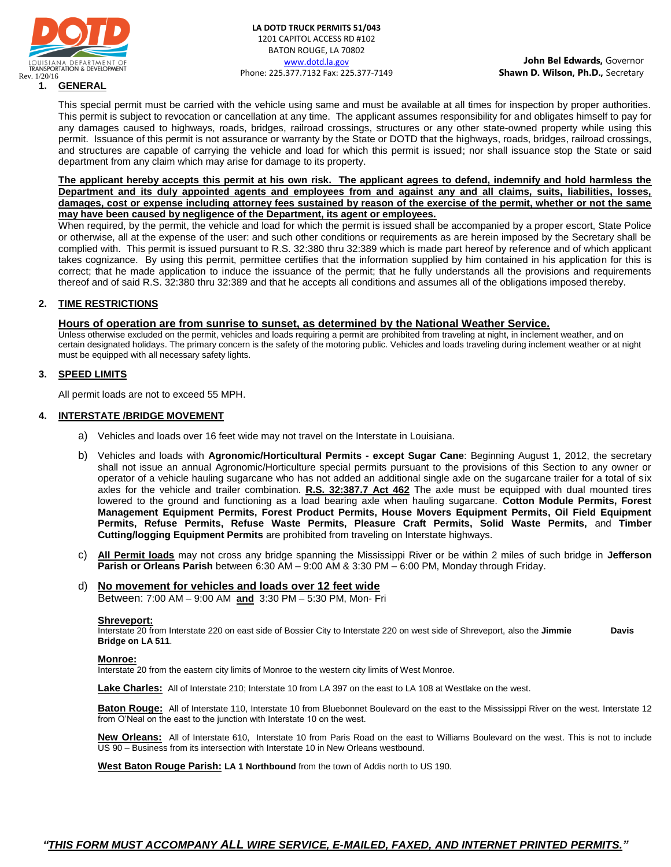

## **1. GENERAL**

**John Bel Edwards,** Governor **Shawn D. Wilson, Ph.D.,** Secretary

This special permit must be carried with the vehicle using same and must be available at all times for inspection by proper authorities. This permit is subject to revocation or cancellation at any time. The applicant assumes responsibility for and obligates himself to pay for any damages caused to highways, roads, bridges, railroad crossings, structures or any other state-owned property while using this permit. Issuance of this permit is not assurance or warranty by the State or DOTD that the highways, roads, bridges, railroad crossings, and structures are capable of carrying the vehicle and load for which this permit is issued; nor shall issuance stop the State or said department from any claim which may arise for damage to its property.

### **The applicant hereby accepts this permit at his own risk. The applicant agrees to defend, indemnify and hold harmless the Department and its duly appointed agents and employees from and against any and all claims, suits, liabilities, losses, damages, cost or expense including attorney fees sustained by reason of the exercise of the permit, whether or not the same may have been caused by negligence of the Department, its agent or employees.**

When required, by the permit, the vehicle and load for which the permit is issued shall be accompanied by a proper escort, State Police or otherwise, all at the expense of the user: and such other conditions or requirements as are herein imposed by the Secretary shall be complied with. This permit is issued pursuant to R.S. 32:380 thru 32:389 which is made part hereof by reference and of which applicant takes cognizance. By using this permit, permittee certifies that the information supplied by him contained in his application for this is correct; that he made application to induce the issuance of the permit; that he fully understands all the provisions and requirements thereof and of said R.S. 32:380 thru 32:389 and that he accepts all conditions and assumes all of the obligations imposed thereby.

# **2. TIME RESTRICTIONS**

# **Hours of operation are from sunrise to sunset, as determined by the National Weather Service.**

Unless otherwise excluded on the permit, vehicles and loads requiring a permit are prohibited from traveling at night, in inclement weather, and on certain designated holidays. The primary concern is the safety of the motoring public. Vehicles and loads traveling during inclement weather or at night must be equipped with all necessary safety lights.

## **3. SPEED LIMITS**

All permit loads are not to exceed 55 MPH.

## **4. INTERSTATE /BRIDGE MOVEMENT**

- a) Vehicles and loads over 16 feet wide may not travel on the Interstate in Louisiana.
- b) Vehicles and loads with **Agronomic/Horticultural Permits - except Sugar Cane**: Beginning August 1, 2012, the secretary shall not issue an annual Agronomic/Horticulture special permits pursuant to the provisions of this Section to any owner or operator of a vehicle hauling sugarcane who has not added an additional single axle on the sugarcane trailer for a total of six axles for the vehicle and trailer combination. **R.S. 32:387.7 Act 462** The axle must be equipped with dual mounted tires lowered to the ground and functioning as a load bearing axle when hauling sugarcane. **Cotton Module Permits, Forest Management Equipment Permits, Forest Product Permits, House Movers Equipment Permits, Oil Field Equipment Permits, Refuse Permits, Refuse Waste Permits, Pleasure Craft Permits, Solid Waste Permits,** and **Timber Cutting/logging Equipment Permits** are prohibited from traveling on Interstate highways.
- c) **All Permit loads** may not cross any bridge spanning the Mississippi River or be within 2 miles of such bridge in **Jefferson Parish or Orleans Parish** between 6:30 AM – 9:00 AM & 3:30 PM – 6:00 PM, Monday through Friday.
- d) **No movement for vehicles and loads over 12 feet wide** Between: 7:00 AM – 9:00 AM **and** 3:30 PM – 5:30 PM, Mon- Fri

#### **Shreveport:**

Interstate 20 from Interstate 220 on east side of Bossier City to Interstate 220 on west side of Shreveport, also the **Jimmie Davis Bridge on LA 511**.

#### **Monroe:**

Interstate 20 from the eastern city limits of Monroe to the western city limits of West Monroe.

**Lake Charles:** All of Interstate 210; Interstate 10 from LA 397 on the east to LA 108 at Westlake on the west.

Baton Rouge: All of Interstate 110, Interstate 10 from Bluebonnet Boulevard on the east to the Mississippi River on the west. Interstate 12 from O'Neal on the east to the junction with Interstate 10 on the west.

**New Orleans:** All of Interstate 610, Interstate 10 from Paris Road on the east to Williams Boulevard on the west. This is not to include US 90 – Business from its intersection with Interstate 10 in New Orleans westbound.

**West Baton Rouge Parish: LA 1 Northbound** from the town of Addis north to US 190.